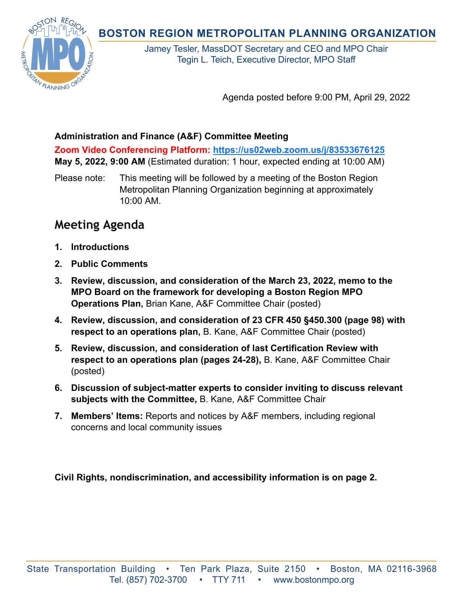**BOSTON REGION METROPOLITAN PLANNING ORGANIZATION** 



Jamey Tesler, MassDOT Secretary and CEO and MPO Chair Tegin L. Teich, Executive Director, MPO Staff

Agenda posted before 9:00 PM, April 29, 2022

## **Administration and Finance (A&F) Committee Meeting**

**Zoom Video Conferencing Platform:<https://us02web.zoom.us/j/83533676125> May 5, 2022, 9:00 AM** (Estimated duration: 1 hour, expected ending at 10:00 AM)

Please note: This meeting will be followed by a meeting of the Boston Region Metropolitan Planning Organization beginning at approximately 10:00 AM.

## **Meeting Agenda**

- **1. Introductions**
- **2. Public Comments**
- **3. Review, discussion, and consideration of the March 23, 2022, memo to the MPO Board on the framework for developing a Boston Region MPO Operations Plan,** Brian Kane, A&F Committee Chair (posted)
- **4. Review, discussion, and consideration of 23 CFR 450 §450.300 (page 98) with respect to an operations plan,** B. Kane, A&F Committee Chair (posted)
- **5. Review, discussion, and consideration of last Certification Review with respect to an operations plan (pages 24-28),** B. Kane, A&F Committee Chair (posted)
- **6. Discussion of subject-matter experts to consider inviting to discuss relevant subjects with the Committee,** B. Kane, A&F Committee Chair
- **7. Members' Items:** Reports and notices by A&F members, including regional concerns and local community issues

**Civil Rights, nondiscrimination, and accessibility information is on page 2.**